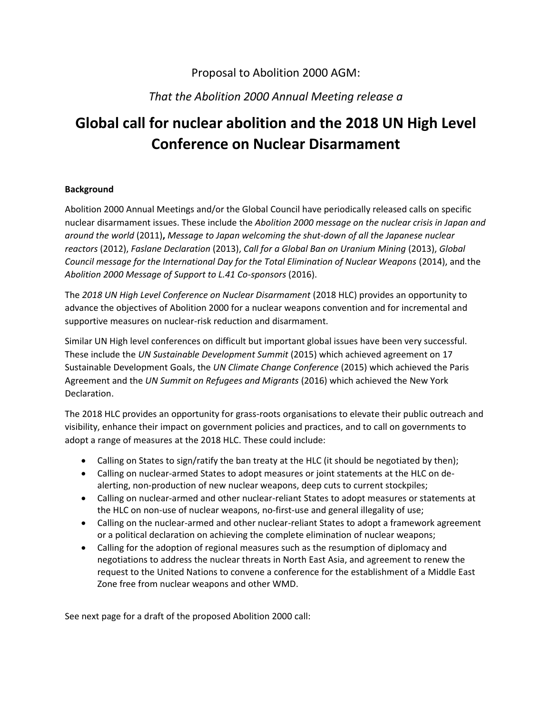## Proposal to Abolition 2000 AGM:

# *That the Abolition 2000 Annual Meeting release a*

# **Global call for nuclear abolition and the 2018 UN High Level Conference on Nuclear Disarmament**

#### **Background**

Abolition 2000 Annual Meetings and/or the Global Council have periodically released calls on specific nuclear disarmament issues. These include the *Abolition 2000 message on the nuclear crisis in Japan and around the world* (2011)**,** *Message to Japan welcoming the shut-down of all the Japanese nuclear reactors* (2012), *Faslane Declaration* (2013), *Call for a Global Ban on Uranium Mining* (2013), *Global Council message for the International Day for the Total Elimination of Nuclear Weapons* (2014), and the *Abolition 2000 Message of Support to L.41 Co-sponsors* (2016).

The *2018 UN High Level Conference on Nuclear Disarmament* (2018 HLC) provides an opportunity to advance the objectives of Abolition 2000 for a nuclear weapons convention and for incremental and supportive measures on nuclear-risk reduction and disarmament.

Similar UN High level conferences on difficult but important global issues have been very successful. These include the *UN Sustainable Development Summit* (2015) which achieved agreement on 17 Sustainable Development Goals, the *UN Climate Change Conference* (2015) which achieved the Paris Agreement and the *UN Summit on Refugees and Migrants* (2016) which achieved the New York Declaration.

The 2018 HLC provides an opportunity for grass-roots organisations to elevate their public outreach and visibility, enhance their impact on government policies and practices, and to call on governments to adopt a range of measures at the 2018 HLC. These could include:

- Calling on States to sign/ratify the ban treaty at the HLC (it should be negotiated by then);
- Calling on nuclear-armed States to adopt measures or joint statements at the HLC on dealerting, non-production of new nuclear weapons, deep cuts to current stockpiles;
- Calling on nuclear-armed and other nuclear-reliant States to adopt measures or statements at the HLC on non-use of nuclear weapons, no-first-use and general illegality of use;
- Calling on the nuclear-armed and other nuclear-reliant States to adopt a framework agreement or a political declaration on achieving the complete elimination of nuclear weapons;
- Calling for the adoption of regional measures such as the resumption of diplomacy and negotiations to address the nuclear threats in North East Asia, and agreement to renew the request to the United Nations to convene a conference for the establishment of a Middle East Zone free from nuclear weapons and other WMD.

See next page for a draft of the proposed Abolition 2000 call: